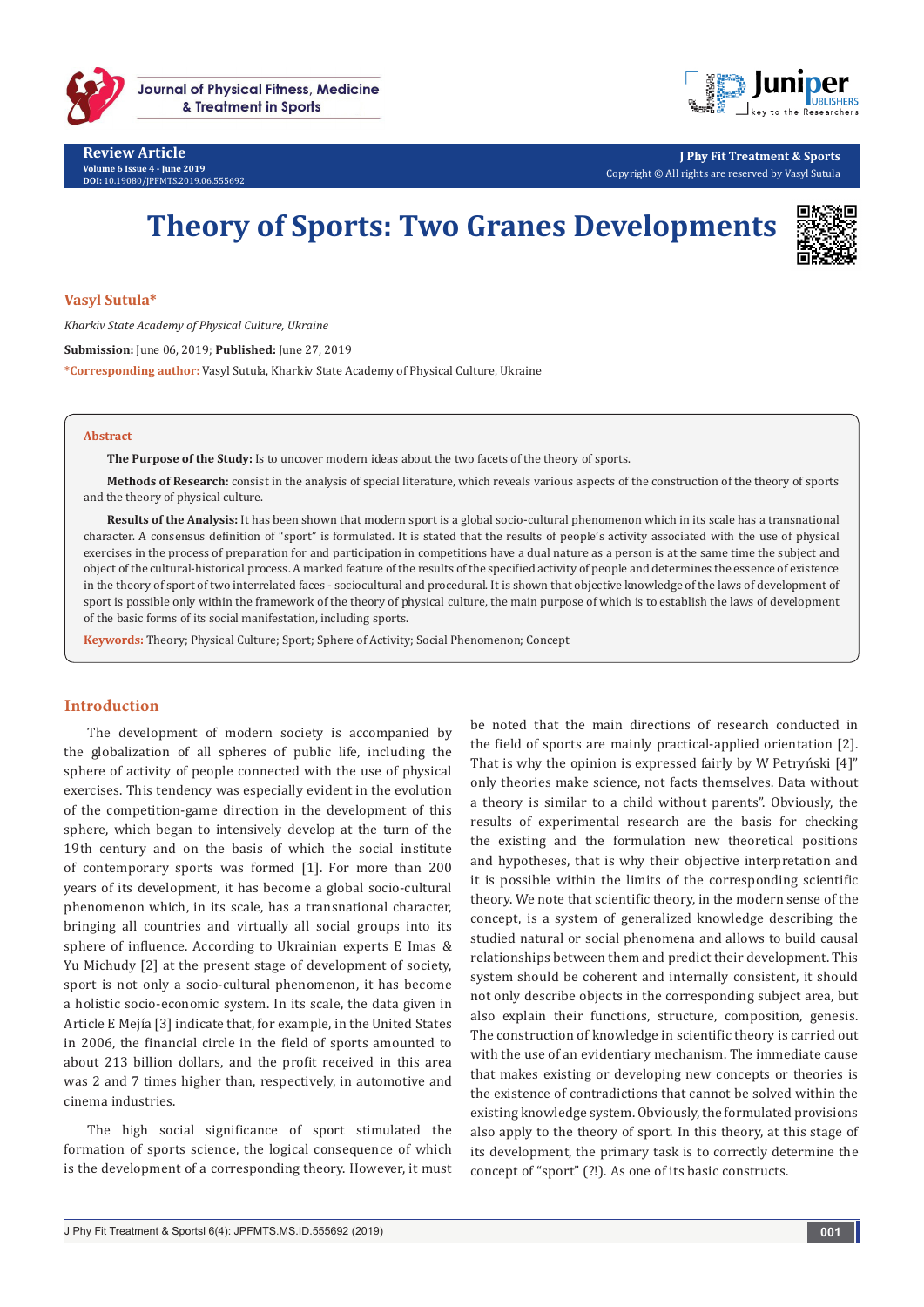



**J Phy Fit Treatment & Sports** Copyright © All rights are reserved by Vasyl Sutula

# **Theory of Sports: Two Granes Developments**



### **Vasyl Sutula\***

*Kharkiv State Academy of Physical Culture, Ukraine*

**Submission:** June 06, 2019; **Published:** June 27, 2019

**\*Corresponding author:** Vasyl Sutula, Kharkiv State Academy of Physical Culture, Ukraine

#### **Abstract**

**The Purpose of the Study:** Is to uncover modern ideas about the two facets of the theory of sports.

**Methods of Research:** consist in the analysis of special literature, which reveals various aspects of the construction of the theory of sports and the theory of physical culture.

**Results of the Analysis:** It has been shown that modern sport is a global socio-cultural phenomenon which in its scale has a transnational character. A consensus definition of "sport" is formulated. It is stated that the results of people's activity associated with the use of physical exercises in the process of preparation for and participation in competitions have a dual nature as a person is at the same time the subject and object of the cultural-historical process. A marked feature of the results of the specified activity of people and determines the essence of existence in the theory of sport of two interrelated faces - sociocultural and procedural. It is shown that objective knowledge of the laws of development of sport is possible only within the framework of the theory of physical culture, the main purpose of which is to establish the laws of development of the basic forms of its social manifestation, including sports.

**Keywords:** Theory; Physical Culture; Sport; Sphere of Activity; Social Phenomenon; Concept

## **Introduction**

The development of modern society is accompanied by the globalization of all spheres of public life, including the sphere of activity of people connected with the use of physical exercises. This tendency was especially evident in the evolution of the competition-game direction in the development of this sphere, which began to intensively develop at the turn of the 19th century and on the basis of which the social institute of contemporary sports was formed [1]. For more than 200 years of its development, it has become a global socio-cultural phenomenon which, in its scale, has a transnational character, bringing all countries and virtually all social groups into its sphere of influence. According to Ukrainian experts E Imas & Yu Michudy [2] at the present stage of development of society, sport is not only a socio-cultural phenomenon, it has become a holistic socio-economic system. In its scale, the data given in Article E Mejía [3] indicate that, for example, in the United States in 2006, the financial circle in the field of sports amounted to about 213 billion dollars, and the profit received in this area was 2 and 7 times higher than, respectively, in automotive and cinema industries.

The high social significance of sport stimulated the formation of sports science, the logical consequence of which is the development of a corresponding theory. However, it must

be noted that the main directions of research conducted in the field of sports are mainly practical-applied orientation [2]. That is why the opinion is expressed fairly by W Petryński [4]" only theories make science, not facts themselves. Data without a theory is similar to a child without parents". Obviously, the results of experimental research are the basis for checking the existing and the formulation new theoretical positions and hypotheses, that is why their objective interpretation and it is possible within the limits of the corresponding scientific theory. We note that scientific theory, in the modern sense of the concept, is a system of generalized knowledge describing the studied natural or social phenomena and allows to build causal relationships between them and predict their development. This system should be coherent and internally consistent, it should not only describe objects in the corresponding subject area, but also explain their functions, structure, composition, genesis. The construction of knowledge in scientific theory is carried out with the use of an evidentiary mechanism. The immediate cause that makes existing or developing new concepts or theories is the existence of contradictions that cannot be solved within the existing knowledge system. Obviously, the formulated provisions also apply to the theory of sport. In this theory, at this stage of its development, the primary task is to correctly determine the concept of "sport" (?!). As one of its basic constructs.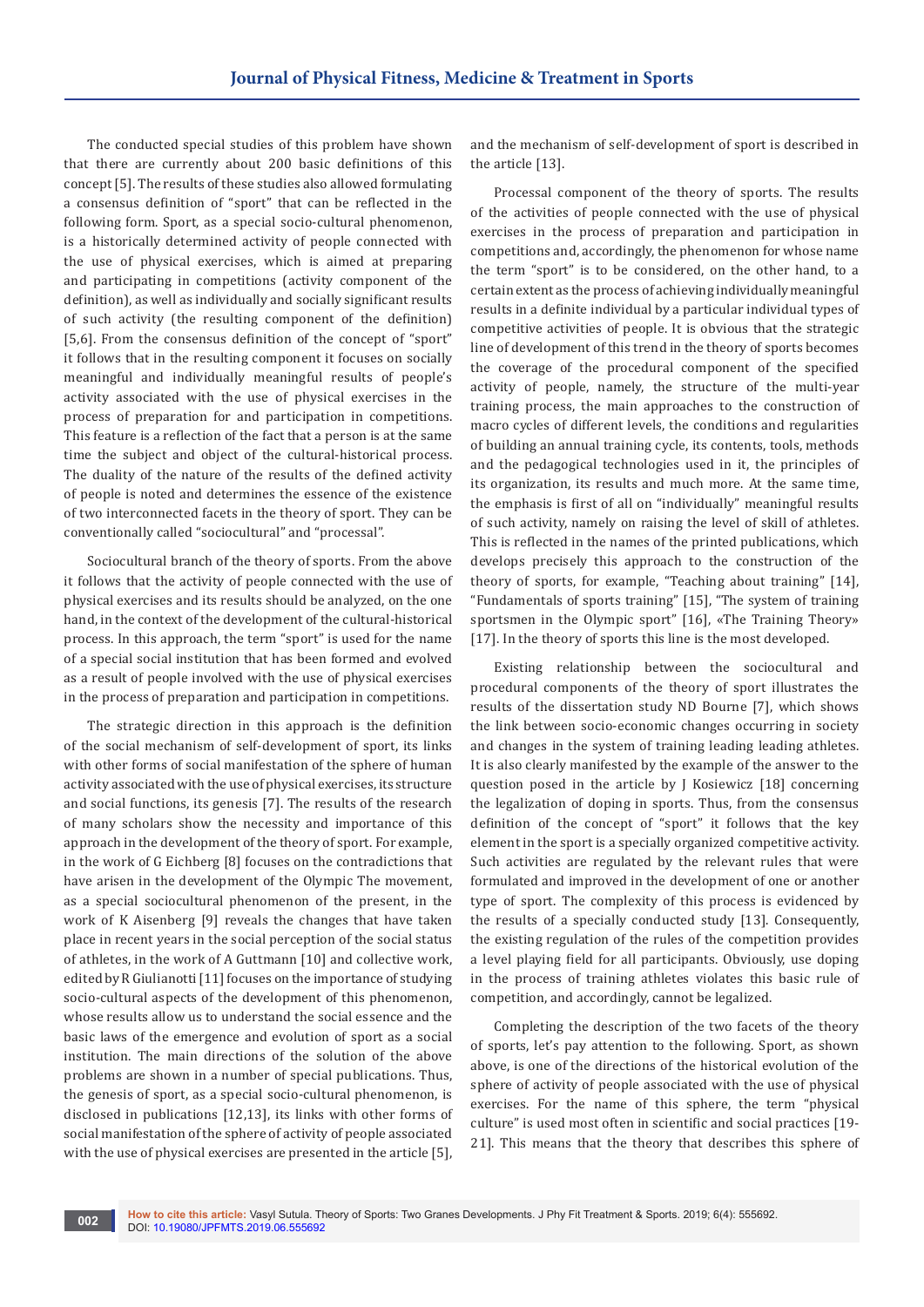The conducted special studies of this problem have shown that there are currently about 200 basic definitions of this concept [5]. The results of these studies also allowed formulating a consensus definition of "sport" that can be reflected in the following form. Sport, as a special socio-cultural phenomenon, is a historically determined activity of people connected with the use of physical exercises, which is aimed at preparing and participating in competitions (activity component of the definition), as well as individually and socially significant results of such activity (the resulting component of the definition) [5,6]. From the consensus definition of the concept of "sport" it follows that in the resulting component it focuses on socially meaningful and individually meaningful results of people's activity associated with the use of physical exercises in the process of preparation for and participation in competitions. This feature is a reflection of the fact that a person is at the same time the subject and object of the cultural-historical process. The duality of the nature of the results of the defined activity of people is noted and determines the essence of the existence of two interconnected facets in the theory of sport. They can be conventionally called "sociocultural" and "processal".

Sociocultural branch of the theory of sports. From the above it follows that the activity of people connected with the use of physical exercises and its results should be analyzed, on the one hand, in the context of the development of the cultural-historical process. In this approach, the term "sport" is used for the name of a special social institution that has been formed and evolved as a result of people involved with the use of physical exercises in the process of preparation and participation in competitions.

The strategic direction in this approach is the definition of the social mechanism of self-development of sport, its links with other forms of social manifestation of the sphere of human activity associated with the use of physical exercises, its structure and social functions, its genesis [7]. The results of the research of many scholars show the necessity and importance of this approach in the development of the theory of sport. For example, in the work of G Eichberg [8] focuses on the contradictions that have arisen in the development of the Olympic The movement, as a special sociocultural phenomenon of the present, in the work of K Aisenberg [9] reveals the changes that have taken place in recent years in the social perception of the social status of athletes, in the work of A Guttmann [10] and collective work, edited by R Giulianotti [11] focuses on the importance of studying socio-cultural aspects of the development of this phenomenon, whose results allow us to understand the social essence and the basic laws of the emergence and evolution of sport as a social institution. The main directions of the solution of the above problems are shown in a number of special publications. Thus, the genesis of sport, as a special socio-cultural phenomenon, is disclosed in publications [12,13], its links with other forms of social manifestation of the sphere of activity of people associated with the use of physical exercises are presented in the article [5],

and the mechanism of self-development of sport is described in the article [13].

Processal component of the theory of sports. The results of the activities of people connected with the use of physical exercises in the process of preparation and participation in competitions and, accordingly, the phenomenon for whose name the term "sport" is to be considered, on the other hand, to a certain extent as the process of achieving individually meaningful results in a definite individual by a particular individual types of competitive activities of people. It is obvious that the strategic line of development of this trend in the theory of sports becomes the coverage of the procedural component of the specified activity of people, namely, the structure of the multi-year training process, the main approaches to the construction of macro cycles of different levels, the conditions and regularities of building an annual training cycle, its contents, tools, methods and the pedagogical technologies used in it, the principles of its organization, its results and much more. At the same time, the emphasis is first of all on "individually" meaningful results of such activity, namely on raising the level of skill of athletes. This is reflected in the names of the printed publications, which develops precisely this approach to the construction of the theory of sports, for example, "Teaching about training" [14], "Fundamentals of sports training" [15], "The system of training sportsmen in the Olympic sport" [16], «The Training Theory» [17]. In the theory of sports this line is the most developed.

Existing relationship between the sociocultural and procedural components of the theory of sport illustrates the results of the dissertation study ND Bourne [7], which shows the link between socio-economic changes occurring in society and changes in the system of training leading leading athletes. It is also clearly manifested by the example of the answer to the question posed in the article by J Kosiewicz [18] concerning the legalization of doping in sports. Thus, from the consensus definition of the concept of "sport" it follows that the key element in the sport is a specially organized competitive activity. Such activities are regulated by the relevant rules that were formulated and improved in the development of one or another type of sport. The complexity of this process is evidenced by the results of a specially conducted study [13]. Consequently, the existing regulation of the rules of the competition provides a level playing field for all participants. Obviously, use doping in the process of training athletes violates this basic rule of competition, and accordingly, cannot be legalized.

Completing the description of the two facets of the theory of sports, let's pay attention to the following. Sport, as shown above, is one of the directions of the historical evolution of the sphere of activity of people associated with the use of physical exercises. For the name of this sphere, the term "physical culture" is used most often in scientific and social practices [19- 21]. This means that the theory that describes this sphere of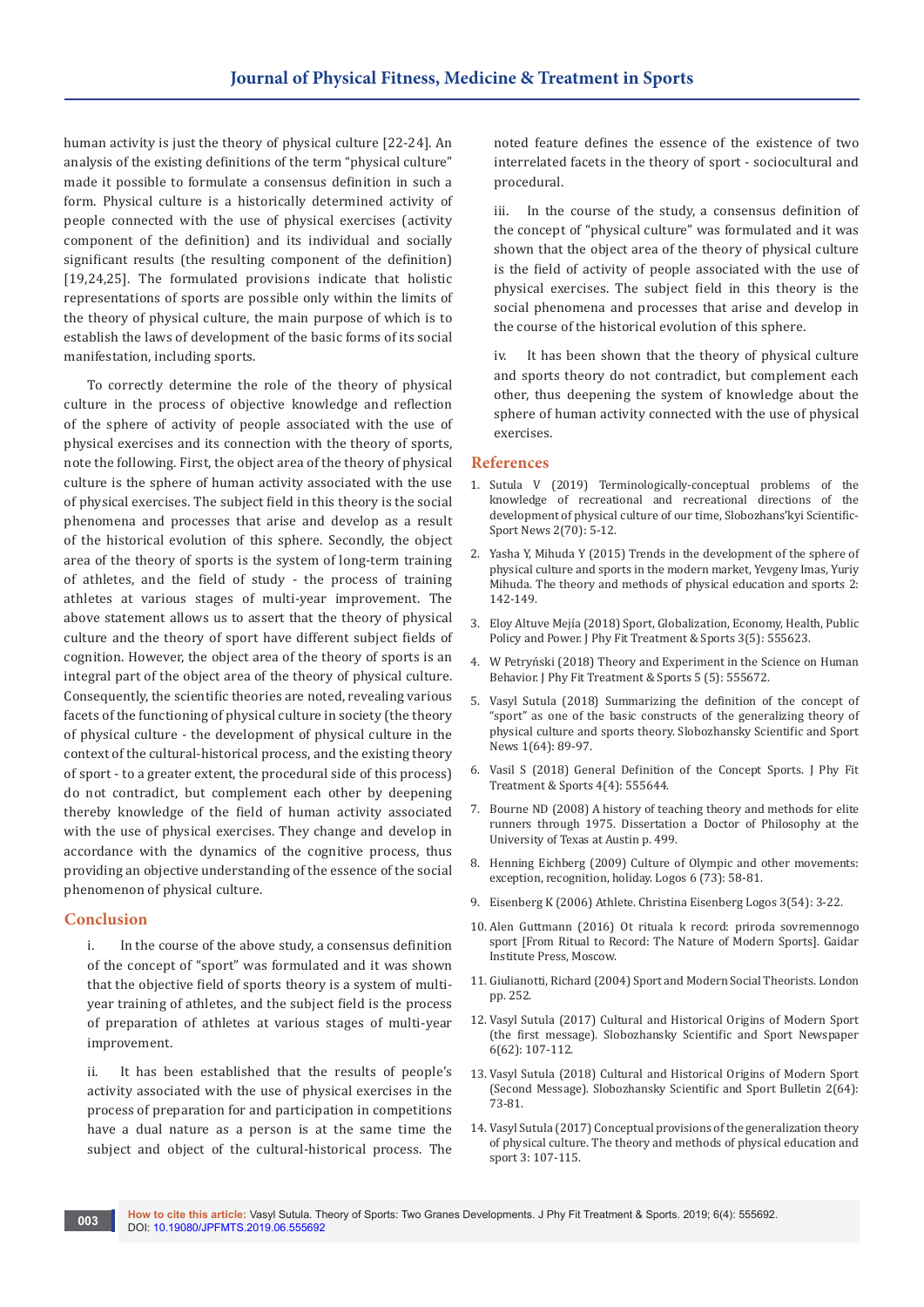human activity is just the theory of physical culture [22-24]. An analysis of the existing definitions of the term "physical culture" made it possible to formulate a consensus definition in such a form. Physical culture is a historically determined activity of people connected with the use of physical exercises (activity component of the definition) and its individual and socially significant results (the resulting component of the definition) [19,24,25]. The formulated provisions indicate that holistic representations of sports are possible only within the limits of the theory of physical culture, the main purpose of which is to establish the laws of development of the basic forms of its social manifestation, including sports.

To correctly determine the role of the theory of physical culture in the process of objective knowledge and reflection of the sphere of activity of people associated with the use of physical exercises and its connection with the theory of sports, note the following. First, the object area of the theory of physical culture is the sphere of human activity associated with the use of physical exercises. The subject field in this theory is the social phenomena and processes that arise and develop as a result of the historical evolution of this sphere. Secondly, the object area of the theory of sports is the system of long-term training of athletes, and the field of study - the process of training athletes at various stages of multi-year improvement. The above statement allows us to assert that the theory of physical culture and the theory of sport have different subject fields of cognition. However, the object area of the theory of sports is an integral part of the object area of the theory of physical culture. Consequently, the scientific theories are noted, revealing various facets of the functioning of physical culture in society (the theory of physical culture - the development of physical culture in the context of the cultural-historical process, and the existing theory of sport - to a greater extent, the procedural side of this process) do not contradict, but complement each other by deepening thereby knowledge of the field of human activity associated with the use of physical exercises. They change and develop in accordance with the dynamics of the cognitive process, thus providing an objective understanding of the essence of the social phenomenon of physical culture.

## **Conclusion**

i. In the course of the above study, a consensus definition of the concept of "sport" was formulated and it was shown that the objective field of sports theory is a system of multiyear training of athletes, and the subject field is the process of preparation of athletes at various stages of multi-year improvement.

ii. It has been established that the results of people's activity associated with the use of physical exercises in the process of preparation for and participation in competitions have a dual nature as a person is at the same time the subject and object of the cultural-historical process. The

noted feature defines the essence of the existence of two interrelated facets in the theory of sport - sociocultural and procedural.

iii. In the course of the study, a consensus definition of the concept of "physical culture" was formulated and it was shown that the object area of the theory of physical culture is the field of activity of people associated with the use of physical exercises. The subject field in this theory is the social phenomena and processes that arise and develop in the course of the historical evolution of this sphere.

iv. It has been shown that the theory of physical culture and sports theory do not contradict, but complement each other, thus deepening the system of knowledge about the sphere of human activity connected with the use of physical exercises.

### **References**

- 1. Sutula V (2019) Terminologically-conceptual problems of the knowledge of recreational and recreational directions of the development of physical culture of our time, Slobozhans'kyi Scientific-Sport News 2(70): 5-12.
- 2. Yasha Y, Mihuda Y (2015) Trends in the development of the sphere of physical culture and sports in the modern market, Yevgeny Imas, Yuriy Mihuda. The theory and methods of physical education and sports 2: 142-149.
- 3. [Eloy Altuve Mejía \(2018\) Sport, Globalization, Economy, Health, Public](https://juniperpublishers.com/jpfmts/pdf/JPFMTS.MS.ID.555623.pdf)  [Policy and Power. J Phy Fit Treatment & Sports 3\(5\): 555623.](https://juniperpublishers.com/jpfmts/pdf/JPFMTS.MS.ID.555623.pdf)
- 4. [W Petryński \(2018\) Theory and Experiment in the Science on Human](https://juniperpublishers.com/jpfmts/pdf/JPFMTS.MS.ID.555672.pdf)  [Behavior. J Phy Fit Treatment & Sports 5 \(5\): 555672.](https://juniperpublishers.com/jpfmts/pdf/JPFMTS.MS.ID.555672.pdf)
- 5. Vasyl Sutula (2018) Summarizing the definition of the concept of "sport" as one of the basic constructs of the generalizing theory of physical culture and sports theory. Slobozhansky Scientific and Sport News 1(64): 89-97.
- 6. [Vasil S \(2018\) General Definition of the Concept Sports. J Phy Fit](https://juniperpublishers.com/jpfmts/JPFMTS.MS.ID.555644.php)  [Treatment & Sports 4\(4\): 555644.](https://juniperpublishers.com/jpfmts/JPFMTS.MS.ID.555644.php)
- 7. Bourne ND (2008) A history of teaching theory and methods for elite runners through 1975. Dissertation a Doctor of Philosophy at the University of Texas at Austin p. 499.
- 8. Henning Eichberg (2009) Culture of Olympic and other movements: exception, recognition, holiday. Logos 6 (73): 58-81.
- 9. Eisenberg K (2006) Athlete. Christina Eisenberg Logos 3(54): 3-22.
- 10. Alen Guttmann (2016) Ot rituala k record: priroda sovremennogo sport [From Ritual to Record: The Nature of Modern Sports]. Gaidar Institute Press, Moscow.
- 11. [Giulianotti, Richard \(2004\) Sport and Modern Social Theorists. London](https://www.palgrave.com/gp/book/9780333800782)  [pp. 252.](https://www.palgrave.com/gp/book/9780333800782)
- 12. Vasyl Sutula (2017) Cultural and Historical Origins of Modern Sport (the first message). Slobozhansky Scientific and Sport Newspaper 6(62): 107-112.
- 13. Vasyl Sutula (2018) Cultural and Historical Origins of Modern Sport (Second Message). Slobozhansky Scientific and Sport Bulletin 2(64): 73-81.
- 14. Vasyl Sutula (2017) Conceptual provisions of the generalization theory of physical culture. The theory and methods of physical education and sport 3: 107-115.